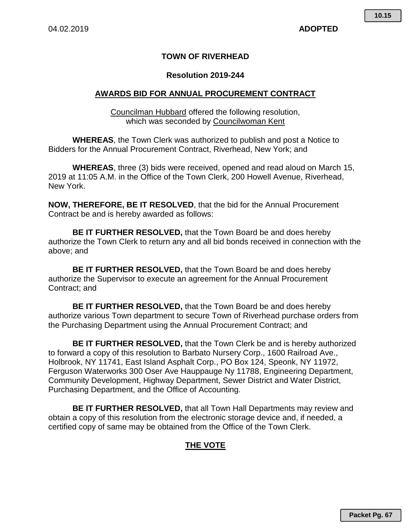# **TOWN OF RIVERHEAD**

## **Resolution 2019-244**

# **AWARDS BID FOR ANNUAL PROCUREMENT CONTRACT**

Councilman Hubbard offered the following resolution, which was seconded by Councilwoman Kent

**WHEREAS**, the Town Clerk was authorized to publish and post a Notice to Bidders for the Annual Procurement Contract, Riverhead, New York; and

**WHEREAS**, three (3) bids were received, opened and read aloud on March 15, 2019 at 11:05 A.M. in the Office of the Town Clerk, 200 Howell Avenue, Riverhead, New York.

**NOW, THEREFORE, BE IT RESOLVED**, that the bid for the Annual Procurement Contract be and is hereby awarded as follows:

**BE IT FURTHER RESOLVED,** that the Town Board be and does hereby authorize the Town Clerk to return any and all bid bonds received in connection with the above; and

**BE IT FURTHER RESOLVED,** that the Town Board be and does hereby authorize the Supervisor to execute an agreement for the Annual Procurement Contract; and

**BE IT FURTHER RESOLVED,** that the Town Board be and does hereby authorize various Town department to secure Town of Riverhead purchase orders from the Purchasing Department using the Annual Procurement Contract; and

**BE IT FURTHER RESOLVED,** that the Town Clerk be and is hereby authorized to forward a copy of this resolution to Barbato Nursery Corp., 1600 Railroad Ave., Holbrook, NY 11741, East Island Asphalt Corp., PO Box 124, Speonk, NY 11972, Ferguson Waterworks 300 Oser Ave Hauppauge Ny 11788, Engineering Department, Community Development, Highway Department, Sewer District and Water District, Purchasing Department, and the Office of Accounting.

**BE IT FURTHER RESOLVED,** that all Town Hall Departments may review and obtain a copy of this resolution from the electronic storage device and, if needed, a certified copy of same may be obtained from the Office of the Town Clerk.

# **THE VOTE**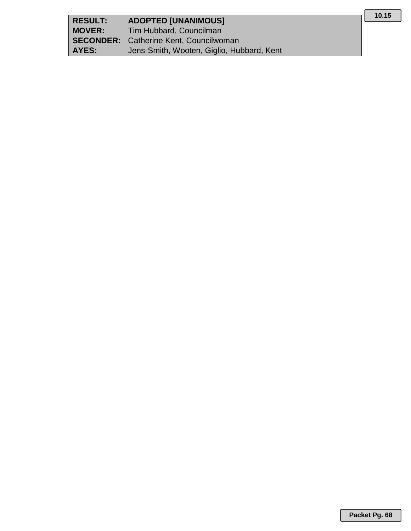| <b>RESULT:</b> | <b>ADOPTED [UNANIMOUS]</b>                    |
|----------------|-----------------------------------------------|
| <b>MOVER:</b>  | Tim Hubbard, Councilman                       |
|                | <b>SECONDER:</b> Catherine Kent, Councilwoman |
| AYES:          | Jens-Smith, Wooten, Giglio, Hubbard, Kent     |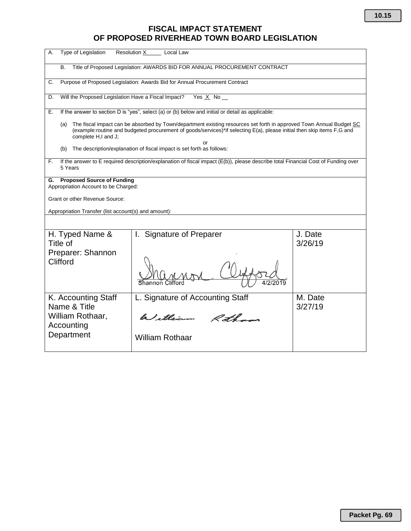# **FISCAL IMPACT STATEMENT OF PROPOSED RIVERHEAD TOWN BOARD LEGISLATION**

| <b>Type of Legislation</b><br>Α.                                                | <b>Resolution X</b><br>Local Law                                                                                                                                                                                                              |                    |  |  |  |  |  |  |  |
|---------------------------------------------------------------------------------|-----------------------------------------------------------------------------------------------------------------------------------------------------------------------------------------------------------------------------------------------|--------------------|--|--|--|--|--|--|--|
| В.                                                                              | Title of Proposed Legislation: AWARDS BID FOR ANNUAL PROCUREMENT CONTRACT                                                                                                                                                                     |                    |  |  |  |  |  |  |  |
| C.                                                                              | Purpose of Proposed Legislation: Awards Bid for Annual Procurement Contract                                                                                                                                                                   |                    |  |  |  |  |  |  |  |
| D.                                                                              | Will the Proposed Legislation Have a Fiscal Impact?<br>Yes $X$ No $-$                                                                                                                                                                         |                    |  |  |  |  |  |  |  |
| Е.                                                                              | If the answer to section D is "yes", select (a) or (b) below and initial or detail as applicable:                                                                                                                                             |                    |  |  |  |  |  |  |  |
| (a)<br>complete H,I and J;                                                      | The fiscal impact can be absorbed by Town/department existing resources set forth in approved Town Annual Budget SC<br>(example:routine and budgeted procurement of goods/services)*if selecting E(a), please initial then skip items F,G and |                    |  |  |  |  |  |  |  |
| (b)                                                                             | or<br>The description/explanation of fiscal impact is set forth as follows:                                                                                                                                                                   |                    |  |  |  |  |  |  |  |
| F.<br>5 Years                                                                   | If the answer to E required description/explanation of fiscal impact (E(b)), please describe total Financial Cost of Funding over                                                                                                             |                    |  |  |  |  |  |  |  |
| <b>Proposed Source of Funding</b><br>G.<br>Appropriation Account to be Charged: |                                                                                                                                                                                                                                               |                    |  |  |  |  |  |  |  |
| Grant or other Revenue Source:                                                  |                                                                                                                                                                                                                                               |                    |  |  |  |  |  |  |  |
| Appropriation Transfer (list account(s) and amount):                            |                                                                                                                                                                                                                                               |                    |  |  |  |  |  |  |  |
|                                                                                 |                                                                                                                                                                                                                                               |                    |  |  |  |  |  |  |  |
| H. Typed Name &<br>Title of                                                     | I. Signature of Preparer                                                                                                                                                                                                                      | J. Date<br>3/26/19 |  |  |  |  |  |  |  |
| Preparer: Shannon<br>Clifford                                                   |                                                                                                                                                                                                                                               |                    |  |  |  |  |  |  |  |
| K. Accounting Staff                                                             | L. Signature of Accounting Staff                                                                                                                                                                                                              | M. Date            |  |  |  |  |  |  |  |
| Name & Title<br>William Rothaar,<br>Accounting                                  | 3/27/19                                                                                                                                                                                                                                       |                    |  |  |  |  |  |  |  |
| Department                                                                      | <b>William Rothaar</b>                                                                                                                                                                                                                        |                    |  |  |  |  |  |  |  |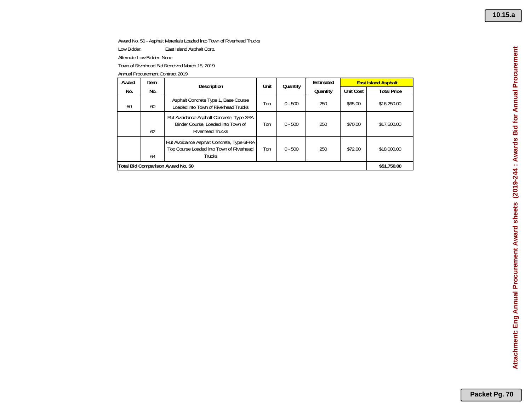Award No. 50 - Asphalt Materials Loaded into Town of Riverhead Trucks

Low Bidder: East Island Asphalt Corp.

Alternate Low Bidder: None

Town of Riverhead Bid Received March 15, 2019

| Award | Item | <b>Description</b>                                                                                        | Unit | Quantity  | Estimated |                  | <b>East Island Asphalt</b> |
|-------|------|-----------------------------------------------------------------------------------------------------------|------|-----------|-----------|------------------|----------------------------|
| No.   | No.  |                                                                                                           |      |           | Quantity  | <b>Unit Cost</b> | <b>Total Price</b>         |
| 50    | 60   | Asphalt Concrete Type 1, Base Course<br>Loaded into Town of Riverhead Trucks                              | Ton  | $0 - 500$ | 250       | \$65.00          | \$16,250.00                |
|       | 62   | Rut Avoidance Asphalt Concrete, Type 3RA<br>Binder Course, Loaded into Town of<br><b>Riverhead Trucks</b> | Ton  | $0 - 500$ | 250       | \$70.00          | \$17,500.00                |
|       | 64   | Rut Avoidance Asphalt Concrete, Type 6FRA<br>Top Course Loaded into Town of Riverhead<br><b>Trucks</b>    | Ton  | $0 - 500$ | 250       | \$72.00          | \$18,000.00                |
|       |      | Total Bid Comparison Award No. 50                                                                         |      |           |           |                  | \$51,750.00                |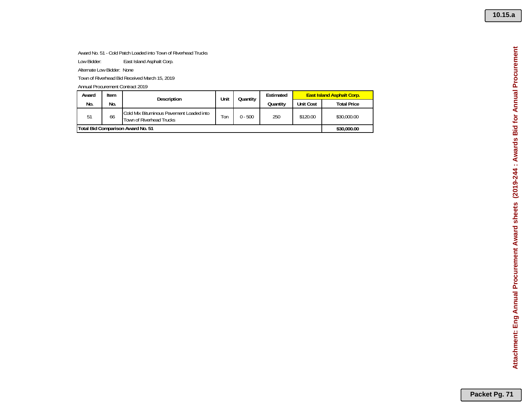### Award No. 51 - Cold Patch Loaded into Town of Riverhead Trucks

Low Bidder: East Island Asphalt Corp.

Alternate Low Bidder: None

Town of Riverhead Bid Received March 15, 2019

| Award                             | Item        | <b>Description</b>                                                   | Unit | Quantity  | Estimated | <b>East Island Asphalt Corp.</b> |                    |
|-----------------------------------|-------------|----------------------------------------------------------------------|------|-----------|-----------|----------------------------------|--------------------|
| No.                               | No.         |                                                                      |      |           | Quantity  | Unit Cost                        | <b>Total Price</b> |
| 51                                | 66          | Cold Mix Bituminous Pavement Loaded into<br>Town of Riverhead Trucks | Ton  | $0 - 500$ | 250       | \$120.00                         | \$30,000.00        |
| Total Bid Comparison Award No. 51 | \$30,000.00 |                                                                      |      |           |           |                                  |                    |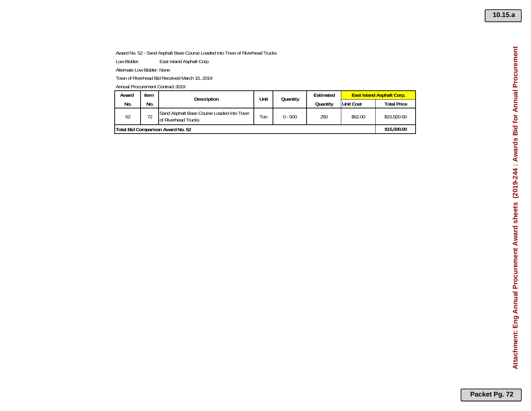## Award No. 52 - Sand Asphalt Base Course Loaded into Town of Riverhead Trucks

Low Bidder: East Island Asphalt Corp.

Alternate Low Bidder: None

Town of Riverhead Bid Received March 15, 2019

| Award                             | Item | Description                                                      | Unit | Quantity  | Estimated | <b>East Island Asphalt Corp.</b> |                    |  |
|-----------------------------------|------|------------------------------------------------------------------|------|-----------|-----------|----------------------------------|--------------------|--|
| No.                               | No.  |                                                                  |      |           | Quantity  | <b>Unit Cost</b>                 | <b>Total Price</b> |  |
| 52                                | 72   | Sand Asphalt Base Course Loaded into Town<br>of Riverhead Trucks | l on | $0 - 500$ | 250       | \$62.00                          | \$15,500.00        |  |
| Total Bid Comparison Award No. 52 |      |                                                                  |      |           |           |                                  |                    |  |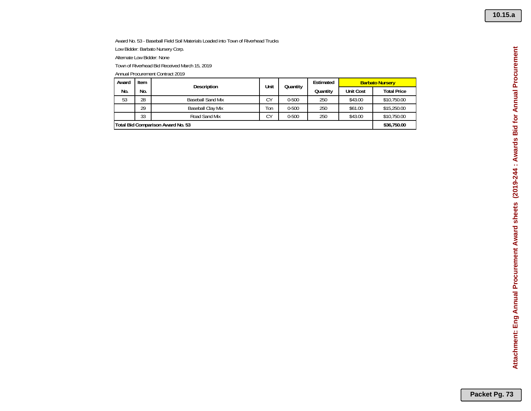Award No. 53 - Baseball Field Soil Materials Loaded into Town of Riverhead Trucks Low Bidder: Barbato Nursery Corp.

Alternate Low Bidder: None

Town of Riverhead Bid Received March 15, 2019

| Award | Item | Description                       | Unit | Quantity  | Estimated | <b>Barbato Nursery</b> |                    |
|-------|------|-----------------------------------|------|-----------|-----------|------------------------|--------------------|
| No.   | No.  |                                   |      |           | Quantity  | <b>Unit Cost</b>       | <b>Total Price</b> |
| 53    | 28   | <b>Baseball Sand Mix</b>          | CΥ   | $0 - 500$ | 250       | \$43.00                | \$10,750.00        |
|       | 29   | Baseball Clay Mix                 | Ton  | $0 - 500$ | 250       | \$61.00                | \$15,250.00        |
|       | 33   | Road Sand Mix                     | CΥ   | $0 - 500$ | 250       | \$43.00                | \$10,750.00        |
|       |      | Total Bid Comparison Award No. 53 |      |           |           |                        | \$36,750.00        |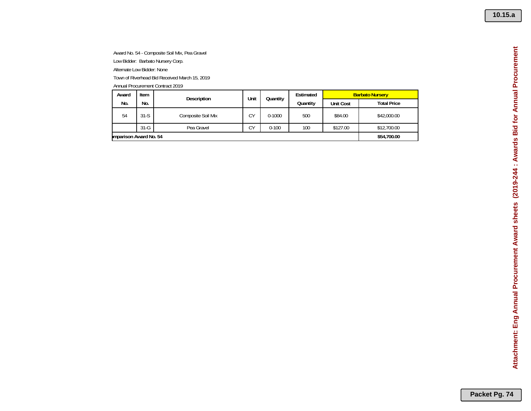Award No. 54 - Composite Soil Mix, Pea Gravel Low Bidder: Barbato Nursery Corp. Alternate Low Bidder: None

Town of Riverhead Bid Received March 15, 2019

| Award      | Item                  | Description        | Unit | Quantity   | Estimated        | <b>Barbato Nursery</b> |             |  |  |
|------------|-----------------------|--------------------|------|------------|------------------|------------------------|-------------|--|--|
| No.<br>No. |                       |                    |      | Quantity   | <b>Unit Cost</b> | <b>Total Price</b>     |             |  |  |
| 54         | $31-S$                | Composite Soil Mix | CΥ   | $0 - 1000$ | 500              | \$84.00                | \$42,000.00 |  |  |
|            | $31-G$                | Pea Gravel         | CΥ   | $0 - 100$  | 100              | \$127.00               | \$12,700.00 |  |  |
|            | mparison Award No. 54 |                    |      |            |                  |                        |             |  |  |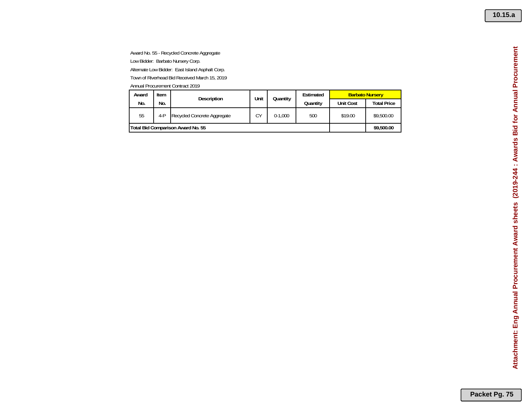Award No. 55 - Recycled Concrete Aggregate Low Bidder: Barbato Nursery Corp. Alternate Low Bidder: East Island Asphalt Corp. Town of Riverhead Bid Received March 15, 2019

| Award                             | Item | <b>Description</b>          | Unit       | Quantity  | Estimated | <b>Barbato Nursery</b> |                    |
|-----------------------------------|------|-----------------------------|------------|-----------|-----------|------------------------|--------------------|
| No.                               | No.  |                             |            |           | Quantity  | <b>Unit Cost</b>       | <b>Total Price</b> |
| 55                                | 4-P  | Recycled Concrete Aggregate | CΥ         | $0-1.000$ | 500       | \$19.00                | \$9,500.00         |
| Total Bid Comparison Award No. 55 |      |                             | \$9,500.00 |           |           |                        |                    |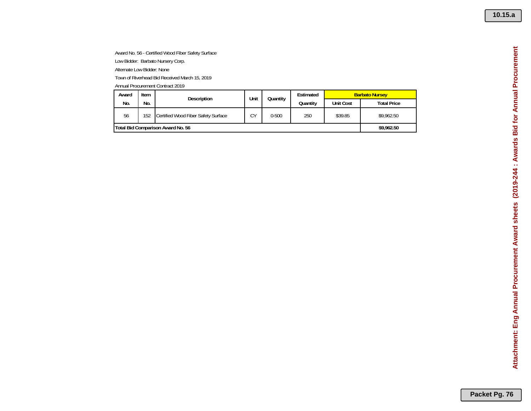Award No. 56 - Certified Wood Fiber Safety Surface

Low Bidder: Barbato Nursery Corp.

Alternate Low Bidder: None

Town of Riverhead Bid Received March 15, 2019

Annual Procurement Contract 2019

| Item<br>Award                     |            | Description                         | Unit | Quantity  | Estimated | <b>Barbato Nursey</b> |                    |
|-----------------------------------|------------|-------------------------------------|------|-----------|-----------|-----------------------|--------------------|
| No.                               | No.        |                                     |      |           | Quantity  | <b>Unit Cost</b>      | <b>Total Price</b> |
| 56                                | 152        | Certified Wood Fiber Safety Surface | CΥ   | $0 - 500$ | 250       | \$39.85               | \$9,962.50         |
| Total Bid Comparison Award No. 56 | \$9,962.50 |                                     |      |           |           |                       |                    |

Attachment: Eng Annual Procurement Award sheets (2019-244 : Awards Bid for Annual Procurement **Attachment: Eng Annual Procurement Award sheets (2019-244 : Awards Bid for Annual Procurement**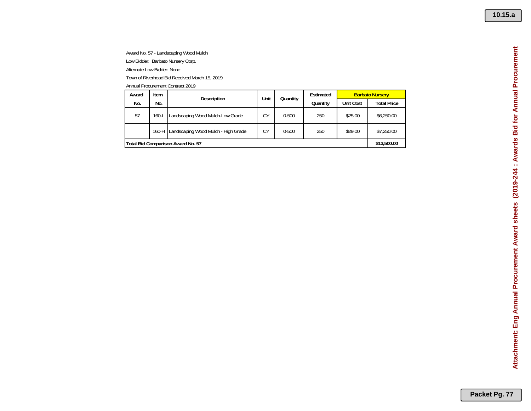Award No. 57 - Landscaping Wood Mulch Low Bidder: Barbato Nursery Corp. Alternate Low Bidder: None Town of Riverhead Bid Received March 15, 2019

|       | Annual Procurement Contract 2019 |                                     |      |           |           |                        |                    |  |  |  |  |  |
|-------|----------------------------------|-------------------------------------|------|-----------|-----------|------------------------|--------------------|--|--|--|--|--|
| Award | Item                             | Description                         | Unit | Quantity  | Estimated | <b>Barbato Nursery</b> |                    |  |  |  |  |  |
| No.   | No.                              |                                     |      |           | Quantity  | <b>Unit Cost</b>       | <b>Total Price</b> |  |  |  |  |  |
| 57    | 160-L                            | Landscaping Wood Mulch-Low Grade    | CY   | $0 - 500$ | 250       | \$25.00                | \$6,250.00         |  |  |  |  |  |
|       | 160-H                            | Landscaping Wood Mulch - High Grade | CY   | $0 - 500$ | 250       | \$29.00                | \$7,250.00         |  |  |  |  |  |
|       |                                  | Total Bid Comparison Award No. 57   |      |           |           |                        | \$13,500.00        |  |  |  |  |  |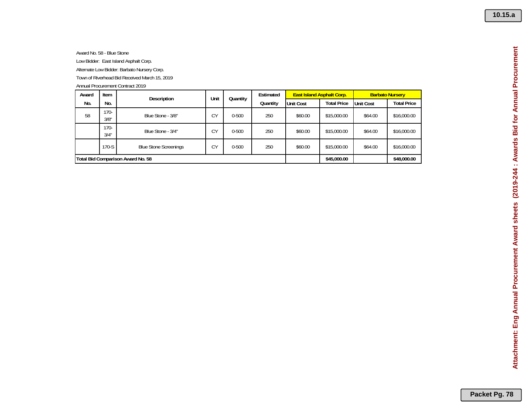Award No. 58 - Blue Stone Low Bidder: East Island Asphalt Corp. Alternate Low Bidder: Barbato Nursery Corp. Town of Riverhead Bid Received March 15, 2019

| Award | Item            | Description                       | Unit<br>Quantity | Estimated   |          |                  | <b>East Island Asphalt Corp.</b> | <b>Barbato Nursery</b> |                    |
|-------|-----------------|-----------------------------------|------------------|-------------|----------|------------------|----------------------------------|------------------------|--------------------|
| No.   | No.             |                                   |                  |             | Quantity | <b>Unit Cost</b> | <b>Total Price</b>               | Unit Cost              | <b>Total Price</b> |
| 58    | $170 -$<br>3/8" | Blue Stone - 3/8"                 | CY               | $0 - 500$   | 250      | \$60.00          | \$15,000.00                      | \$64.00                | \$16,000.00        |
|       | $170 -$<br>3/4" | Blue Stone - 3/4"                 | CY               | $0 - 500$   | 250      | \$60.00          | \$15,000.00                      | \$64.00                | \$16,000.00        |
|       | 170-S           | <b>Blue Stone Screenings</b>      | CУ               | $0 - 500$   | 250      | \$60.00          | \$15,000.00                      | \$64.00                | \$16,000.00        |
|       |                 | Total Bid Comparison Award No. 58 |                  | \$45,000.00 |          | \$48,000.00      |                                  |                        |                    |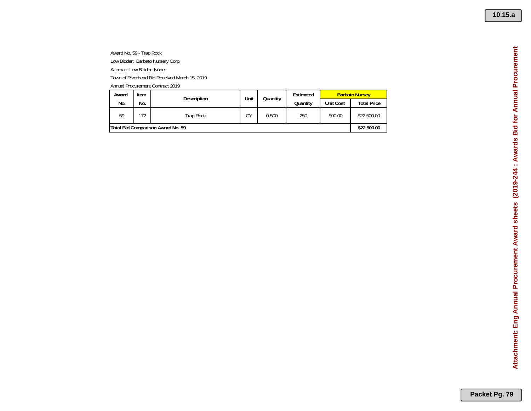Award No. 59 - Trap Rock Low Bidder: Barbato Nursery Corp.

Alternate Low Bidder: None

Town of Riverhead Bid Received March 15, 2019

| Award                             | Item | <b>Description</b> | Unit |           | Quantity | Estimated        | <b>Barbato Nursey</b> |  |
|-----------------------------------|------|--------------------|------|-----------|----------|------------------|-----------------------|--|
| No.                               | No.  |                    |      |           | Quantity | <b>Unit Cost</b> | <b>Total Price</b>    |  |
| 59                                | 72   | <b>Trap Rock</b>   | СY   | $0 - 500$ | 250      | \$90.00          | \$22,500.00           |  |
| Total Bid Comparison Award No. 59 |      |                    |      |           |          |                  |                       |  |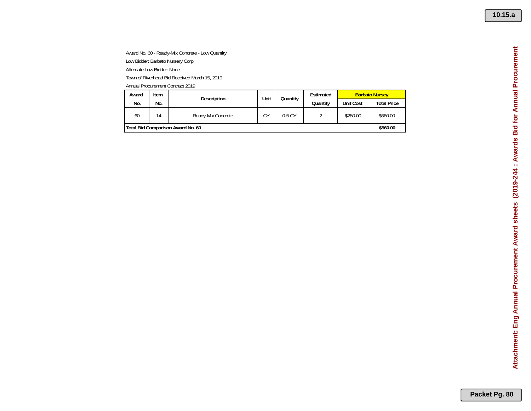Award No. 60 - Ready-Mix Concrete - Low Quantity Low Bidder: Barbato Nursery Corp. Alternate Low Bidder: None Town of Riverhead Bid Received March 15, 2019

| Award                             | Item | Description        | Unit | Quantity |  | Estimated | <b>Barbato Nursey</b> |                    |
|-----------------------------------|------|--------------------|------|----------|--|-----------|-----------------------|--------------------|
| No.                               | No.  |                    |      |          |  | Quantity  | <b>Unit Cost</b>      | <b>Total Price</b> |
| 60                                | 14   | Ready-Mix Concrete | СY   | 0-5 CY   |  | \$280.00  | \$560.00              |                    |
| Total Bid Comparison Award No. 60 |      |                    |      |          |  |           |                       |                    |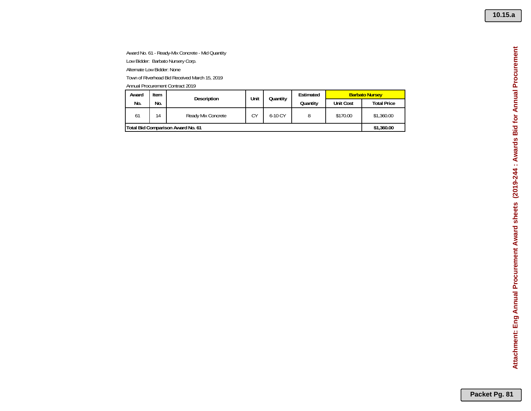**10.15.a**

Award No. 61 - Ready-Mix Concrete - Mid Quantity Low Bidder: Barbato Nursery Corp. Alternate Low Bidder: None

Town of Riverhead Bid Received March 15, 2019

| Award                             | Item           | <b>Description</b> | Unit<br>Quantitv |           | Estimated | <b>Barbato Nursey</b> |                    |
|-----------------------------------|----------------|--------------------|------------------|-----------|-----------|-----------------------|--------------------|
| No.                               | No.            |                    |                  |           | Quantitv  | <b>Unit Cost</b>      | <b>Total Price</b> |
| 61                                | $\overline{4}$ | Ready Mix Concrete | CΥ               | $6-10$ CY |           | \$170.00              | \$1,360.00         |
| Total Bid Comparison Award No. 61 | \$1,360.00     |                    |                  |           |           |                       |                    |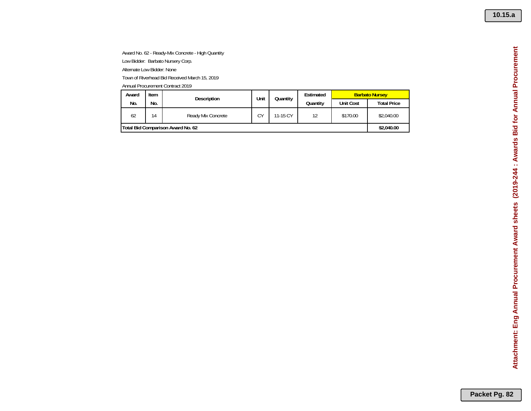**10.15.a**

Attachment: Eng Annual Procurement Award sheets (2019-244 : Awards Bid for Annual Procurement **Attachment: Eng Annual Procurement Award sheets (2019-244 : Awards Bid for Annual Procurement**

Award No. 62 - Ready-Mix Concrete - High Quantity

Low Bidder: Barbato Nursery Corp.

Alternate Low Bidder: None

Town of Riverhead Bid Received March 15, 2019

| Award                                    | <b>Item</b> | Description        | Unit<br>Quantity | Estimated | <b>Barbato Nursey</b> |          |            |  |          |                  |
|------------------------------------------|-------------|--------------------|------------------|-----------|-----------------------|----------|------------|--|----------|------------------|
| No.                                      | No.         |                    |                  |           |                       |          |            |  | Quantity | <b>Unit Cost</b> |
| 62                                       | 14          | Ready Mix Concrete | CΥ               | 11-15 CY  | 12                    | \$170.00 | \$2,040.00 |  |          |                  |
| <b>Total Bid Comparison Award No. 62</b> |             |                    |                  |           |                       |          |            |  |          |                  |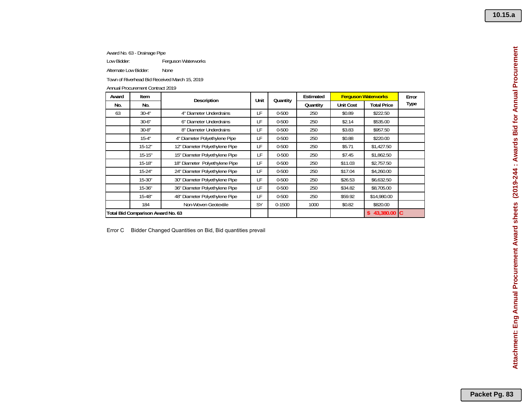Award No. 63 - Drainage Pipe

Low Bidder: Ferguson Waterworks

Alternate Low Bidder: None

Town of Riverhead Bid Received March 15, 2019

Annual Procurement Contract 2019

| Award | Item                              | Description                    | Unit | Quantity   | Estimated |                  | <b>Ferguson Waterworks</b> | Error       |
|-------|-----------------------------------|--------------------------------|------|------------|-----------|------------------|----------------------------|-------------|
| No.   | No.                               |                                |      |            | Quantity  | <b>Unit Cost</b> | <b>Total Price</b>         | <b>Type</b> |
| 63    | $30-4"$                           | 4" Diameter Underdrains        | LF   | $0 - 500$  | 250       | \$0.89           | \$222.50                   |             |
|       | $30 - 6"$                         | 6" Diameter Underdrains        | LF   | $0 - 500$  | 250       | \$2.14           | \$535.00                   |             |
|       | $30-8"$                           | 8" Diameter Underdrains        | LF   | $0 - 500$  | 250       | \$3.83           | \$957.50                   |             |
|       | $15 - 4"$                         | 4" Diameter Polyethylene Pipe  | LF   | $0 - 500$  | 250       | \$0.88           | \$220.00                   |             |
|       | $15-12"$                          | 12" Diameter Polyethylene Pipe | LF   | $0 - 500$  | 250       | \$5.71           | \$1,427.50                 |             |
|       | $15 - 15"$                        | 15" Diameter Polyethylene Pipe | LF   | $0 - 500$  | 250       | \$7.45           | \$1,862.50                 |             |
|       | $15 - 18"$                        | 18" Diameter Polyethylene Pipe | LF   | $0 - 500$  | 250       | \$11.03          | \$2,757.50                 |             |
|       | $15 - 24"$                        | 24" Diameter Polyethylene Pipe | LF   | $0 - 500$  | 250       | \$17.04          | \$4,260.00                 |             |
|       | $15 - 30"$                        | 30" Diameter Polyethylene Pipe | LF   | $0 - 500$  | 250       | \$26.53          | \$6,632.50                 |             |
|       | $15 - 36"$                        | 36" Diameter Polyethylene Pipe | LF   | $0 - 500$  | 250       | \$34.82          | \$8,705.00                 |             |
|       | $15 - 48"$                        | 48" Diameter Polyethylene Pipe | LF   | $0 - 500$  | 250       | \$59.92          | \$14,980.00                |             |
|       | 184                               | Non-Woven Geotextile           | SY   | $0 - 1500$ | 1000      | \$0.82           | \$820.00                   |             |
|       | Total Bid Comparison Award No. 63 |                                |      |            |           |                  | $$43,380.00$ C             |             |

Error C Bidder Changed Quantities on Bid, Bid quantities prevail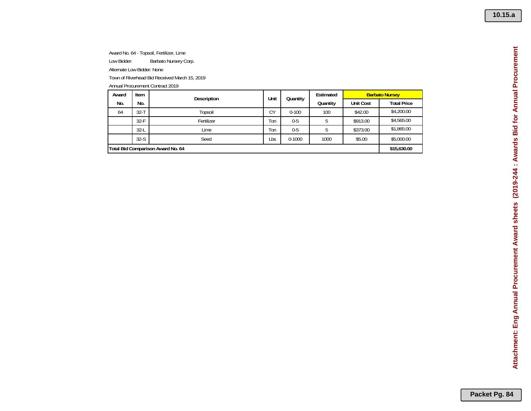Award No. 64 - Topsoil, Fertilizer, Lime Low Bidder: Barbato Nursery Corp. Alternate Low Bidder: None Town of Riverhead Bid Received March 15, 2019 Annual Procurement Contract 2019

| Award | Item                              | Description | Unit | Quantity   | Estimated | <b>Barbato Nursey</b> |                    |  |
|-------|-----------------------------------|-------------|------|------------|-----------|-----------------------|--------------------|--|
| No.   | No.                               |             |      |            | Quantity  | <b>Unit Cost</b>      | <b>Total Price</b> |  |
| 64    | $32 - T$                          | Topsoil     | CY   | $0 - 100$  | 100       | \$42.00               | \$4,200.00         |  |
|       | $32-F$                            | Fertilizer  | Ton  | $0 - 5$    |           | \$913.00              | \$4,565.00         |  |
|       | $32-L$                            | Lime        | Ton  | $0 - 5$    |           | \$373.00              | \$1,865.00         |  |
|       | $32-S$                            | Seed        | Lbs  | $0 - 1000$ | 1000      | \$5.00                | \$5,000.00         |  |
|       | Total Bid Comparison Award No. 64 |             |      |            |           |                       |                    |  |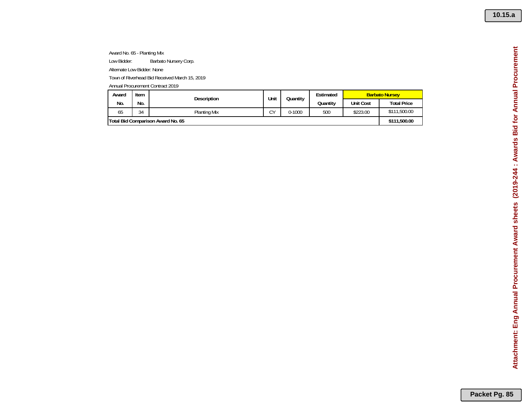Award No. 65 - Planting Mix Low Bidder: Barbato Nursery Corp.

Alternate Low Bidder: None

Town of Riverhead Bid Received March 15, 2019

| Award                             | Item | <b>Description</b> | Unit    | Quantity   | Estimated | <b>Barbato Nursey</b> |                    |
|-----------------------------------|------|--------------------|---------|------------|-----------|-----------------------|--------------------|
| No.                               | No.  |                    |         |            | Quantity  | <b>Unit Cost</b>      | <b>Total Price</b> |
| 65                                | 34   | Planting Mix       | rν<br>◡ | $0 - 1000$ | 500       | \$223.00              | \$111,500.00       |
| Total Bid Comparison Award No. 65 |      |                    |         |            |           |                       | \$111,500.00       |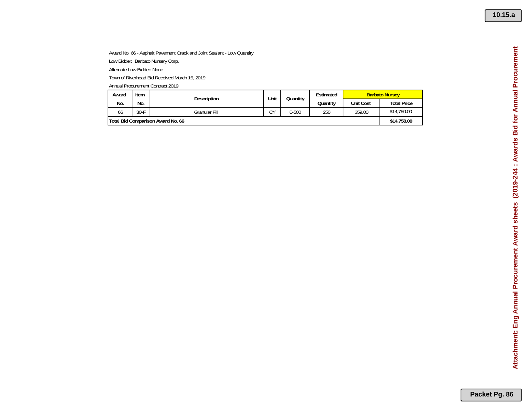**10.15.a**

Attachment: Eng Annual Procurement Award sheets (2019-244 : Awards Bid for Annual Procurement **Attachment: Eng Annual Procurement Award sheets (2019-244 : Awards Bid for Annual Procurement**

## Award No. 66 - Asphalt Pavement Crack and Joint Sealant - Low Quantity

Low Bidder: Barbato Nursery Corp.

Alternate Low Bidder: None

Town of Riverhead Bid Received March 15, 2019

| Award                             | Item<br><b>Description</b> | Unit<br>Quantity | Estimated |           | <b>Barbato Nursey</b> |                  |                    |
|-----------------------------------|----------------------------|------------------|-----------|-----------|-----------------------|------------------|--------------------|
| No.                               | No.                        |                  |           |           | Quantitv              | <b>Unit Cost</b> | <b>Total Price</b> |
| 66                                | $30-F$                     | Granular Fill    | rν<br>◡   | $0 - 500$ | 250                   | \$59.00          | \$14,750.00        |
| Total Bid Comparison Award No. 66 |                            |                  |           |           |                       |                  |                    |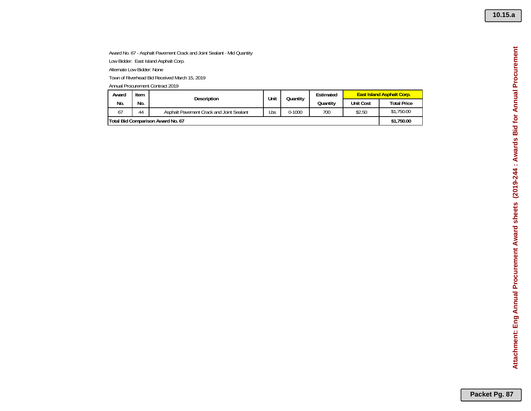**10.15.a**

## Award No. 67 - Asphalt Pavement Crack and Joint Sealant - Mid Quantity

Low Bidder: East Island Asphalt Corp.

Alternate Low Bidder: None

Town of Riverhead Bid Received March 15, 2019

| Award                             | Item | <b>Description</b>                       | Unit<br>Quantity | Estimated  | <b>East Island Asphalt Corp.</b> |                  |                    |
|-----------------------------------|------|------------------------------------------|------------------|------------|----------------------------------|------------------|--------------------|
| No.                               | No.  |                                          |                  |            | Quantitv                         | <b>Unit Cost</b> | <b>Total Price</b> |
| 67                                | 44   | Asphalt Pavement Crack and Joint Sealant | Lbs              | $0 - 1000$ | 700                              | \$2.50           | \$1,750.00         |
| Total Bid Comparison Award No. 67 |      |                                          |                  |            |                                  |                  |                    |